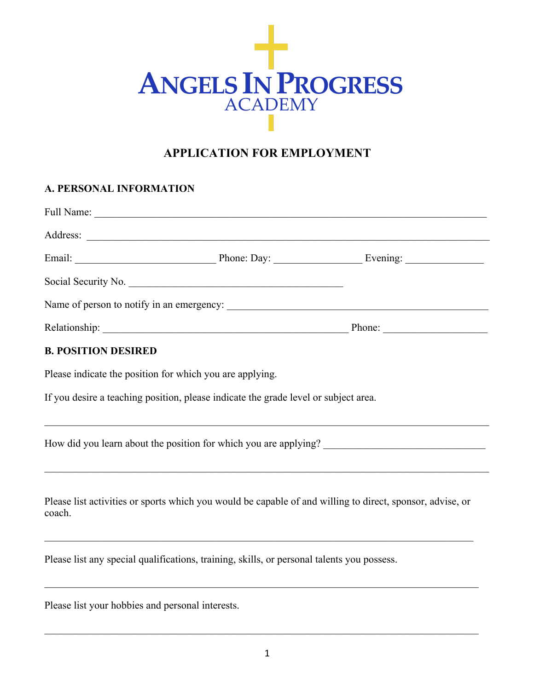

# **APPLICATION FOR EMPLOYMENT**

## **A. PERSONAL INFORMATION**

| Social Security No.                                                                 |  |
|-------------------------------------------------------------------------------------|--|
|                                                                                     |  |
|                                                                                     |  |
| <b>B. POSITION DESIRED</b>                                                          |  |
| Please indicate the position for which you are applying.                            |  |
| If you desire a teaching position, please indicate the grade level or subject area. |  |
|                                                                                     |  |

Please list activities or sports which you would be capable of and willing to direct, sponsor, advise, or coach.

 $\_$  , and the set of the set of the set of the set of the set of the set of the set of the set of the set of the set of the set of the set of the set of the set of the set of the set of the set of the set of the set of th

Please list any special qualifications, training, skills, or personal talents you possess.

Please list your hobbies and personal interests.

 $\_$  , and the state of the state of the state of the state of the state of the state of the state of the state of the state of the state of the state of the state of the state of the state of the state of the state of the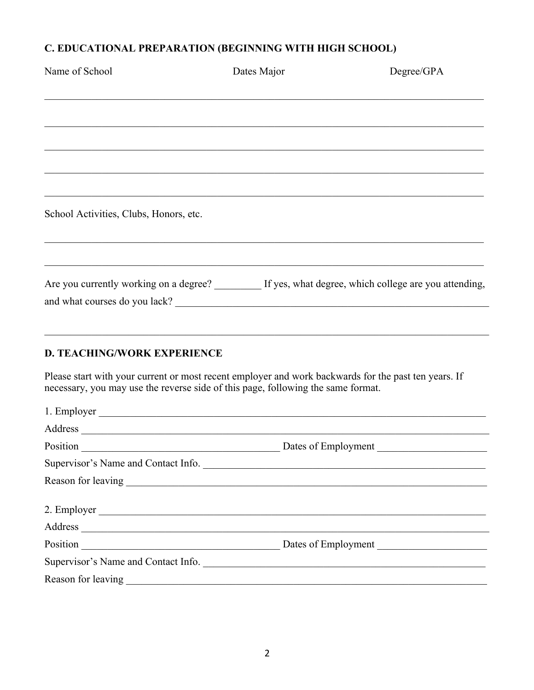## C. EDUCATIONAL PREPARATION (BEGINNING WITH HIGH SCHOOL)

| Name of School                                                                               | Dates Major | Degree/GPA |
|----------------------------------------------------------------------------------------------|-------------|------------|
|                                                                                              |             |            |
|                                                                                              |             |            |
|                                                                                              |             |            |
|                                                                                              |             |            |
|                                                                                              |             |            |
|                                                                                              |             |            |
| School Activities, Clubs, Honors, etc.                                                       |             |            |
|                                                                                              |             |            |
| Are you currently working on a degree? If yes, what degree, which college are you attending, |             |            |
|                                                                                              |             |            |
|                                                                                              |             |            |
| <b>D. TEACHING/WORK EXPERIENCE</b>                                                           |             |            |

Please start with your current or most recent employer and work backwards for the past ten years. If necessary, you may use the reverse side of this page, following the same format.

| 1. Employer                         |
|-------------------------------------|
|                                     |
| Dates of Employment                 |
| Supervisor's Name and Contact Info. |
|                                     |
|                                     |
|                                     |
| Dates of Employment                 |
| Supervisor's Name and Contact Info. |
|                                     |
|                                     |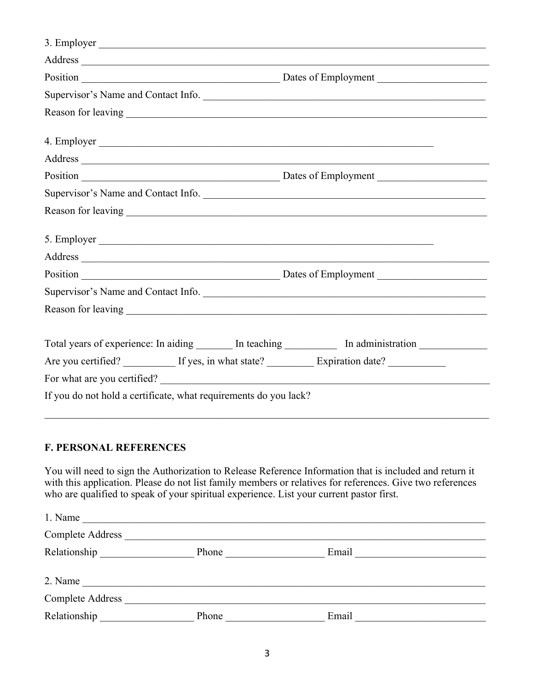| Supervisor's Name and Contact Info.                                                                                                                                                                                            |  |  |
|--------------------------------------------------------------------------------------------------------------------------------------------------------------------------------------------------------------------------------|--|--|
|                                                                                                                                                                                                                                |  |  |
|                                                                                                                                                                                                                                |  |  |
| Address and the contract of the contract of the contract of the contract of the contract of the contract of the contract of the contract of the contract of the contract of the contract of the contract of the contract of th |  |  |
|                                                                                                                                                                                                                                |  |  |
| Supervisor's Name and Contact Info.                                                                                                                                                                                            |  |  |
|                                                                                                                                                                                                                                |  |  |
|                                                                                                                                                                                                                                |  |  |
|                                                                                                                                                                                                                                |  |  |
| Supervisor's Name and Contact Info.                                                                                                                                                                                            |  |  |
|                                                                                                                                                                                                                                |  |  |
|                                                                                                                                                                                                                                |  |  |
| Total years of experience: In aiding _______ In teaching ___________ In administration ____________                                                                                                                            |  |  |
| Are you certified? ___________ If yes, in what state? ___________ Expiration date? ________________                                                                                                                            |  |  |
|                                                                                                                                                                                                                                |  |  |
| If you do not hold a certificate, what requirements do you lack?                                                                                                                                                               |  |  |
|                                                                                                                                                                                                                                |  |  |

## **F. PERSONAL REFERENCES**

You will need to sign the Authorization to Release Reference Information that is included and return it with this application. Please do not list family members or relatives for references. Give two references who are qualified to speak of your spiritual experience. List your current pastor first.

| 1. Name                 |       |       |
|-------------------------|-------|-------|
| <b>Complete Address</b> |       |       |
| Relationship            | Phone | Email |
|                         |       |       |
| 2. Name                 |       |       |
| <b>Complete Address</b> |       |       |
| Relationship            | Phone | Email |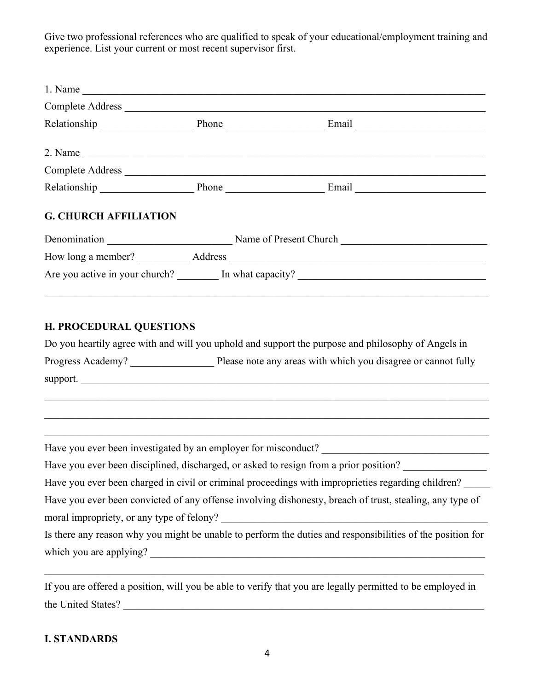Give two professional references who are qualified to speak of your educational/employment training and experience. List your current or most recent supervisor first.

|                              | Complete Address                                 |
|------------------------------|--------------------------------------------------|
|                              | Relationship Phone Final Email Email             |
|                              |                                                  |
|                              |                                                  |
|                              | Relationship Phone Email Email                   |
| <b>G. CHURCH AFFILIATION</b> |                                                  |
|                              | Denomination Name of Present Church              |
|                              |                                                  |
|                              | Are you active in your church? In what capacity? |
|                              |                                                  |
|                              |                                                  |

#### **H. PROCEDURAL QUESTIONS**

|                   | Do you heartily agree with and will you uphold and support the purpose and philosophy of Angels in |
|-------------------|----------------------------------------------------------------------------------------------------|
| Progress Academy? | Please note any areas with which you disagree or cannot fully                                      |
| support.          |                                                                                                    |

Have you ever been investigated by an employer for misconduct? \_\_\_\_\_\_\_\_\_\_\_\_\_\_\_\_\_\_\_\_\_\_\_\_\_\_\_\_\_\_\_\_

Have you ever been disciplined, discharged, or asked to resign from a prior position?

Have you ever been charged in civil or criminal proceedings with improprieties regarding children? Have you ever been convicted of any offense involving dishonesty, breach of trust, stealing, any type of moral impropriety, or any type of felony?

Is there any reason why you might be unable to perform the duties and responsibilities of the position for which you are applying? \_\_\_\_\_\_\_\_\_\_\_\_\_\_\_\_\_\_\_\_\_\_\_\_\_\_\_\_\_\_\_\_\_\_\_\_\_\_\_\_\_\_\_\_\_\_\_\_\_\_\_\_\_\_\_\_\_\_\_\_\_\_\_\_

If you are offered a position, will you be able to verify that you are legally permitted to be employed in the United States? \_\_\_\_\_\_\_\_\_\_\_\_\_\_\_\_\_\_\_\_\_\_\_\_\_\_\_\_\_\_\_\_\_\_\_\_\_\_\_\_\_\_\_\_\_\_\_\_\_\_\_\_\_\_\_\_\_\_\_\_\_\_\_\_\_\_\_\_\_

#### **I. STANDARDS**